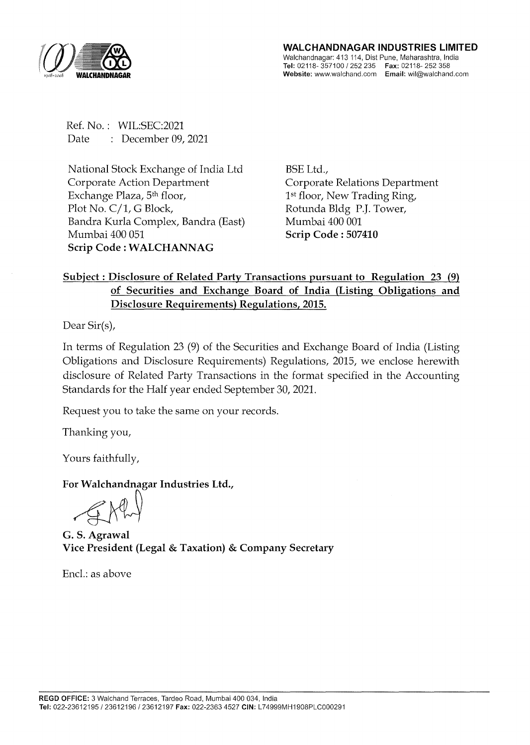

Ref. No.: WIL:SEC:2021 Date : December 09, 2021

National Stock Exchange of India Ltd Corporate Action Department Exchange Plaza, 5th floor, Plot No. C/1, G Block, Bandra Kurla Complex, Bandra (East) Mumbai 400 051 Scrip Code :WALCHANNAG

BSE Ltd., Corporate Relations Department 1st floor, New Trading Ring, Rotunda Bldg P.J. Tower, Mumbai 400 001 Scrip Code : 507410

# Subject: Disclosure of Related Party Transactions pursuant to Regulation 23 (9) of Securities and Exchange Board of India (Listing Obligations and Disclosure Requirements) Regulations, 2015.

Dear Sir(s),

In terms of Regulation 23 (9) of the Securities and Exchange Board of India (Listing Obligations and Disclosure Requirements) Regulations, 2015, we enclose herewith disclosure of Related Party Transactions in the format specified in the Accounting Standards for the Half year ended September 30,2021.

Request you to take the same on your records.

Thanking you,

Yours faithfully,

For Walchandnagar Industries Ltd.,

G. S. Agrawal Vice President (Legal & Taxation) & Company Secretary

Encl.: as above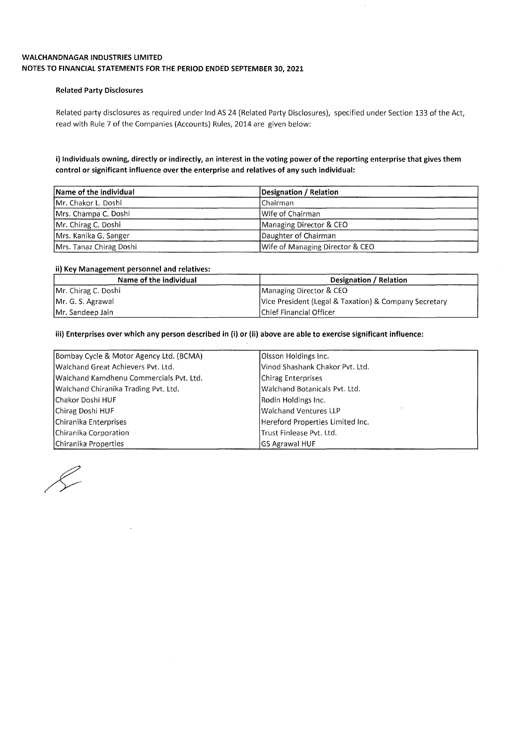## **WALCHANDNAGAR INDUSTRIES LIMITED NOTES TO FINANCIAL STATEMENTS FOR THE PERIOD ENDED SEPTEMBER 30, 2021**

#### **Related Party Disclosures**

Related party disclosures as required under lnd AS 24 (Related Party Disclosures), specified under Section 133 of the Act, read with Rule 7 of the Companies (Accounts) Rules, 2014 are given below:

**i) Individuals owning, directly or indirectly, an interest in the voting power of the reporting enterprise that gives them control or significant influence over the enterprise and relatives of any such individual:** 

| Name of the individual  | Designation / Relation          |  |  |
|-------------------------|---------------------------------|--|--|
| Mr. Chakor L. Doshi     | lChairman                       |  |  |
| Mrs. Champa C. Doshi    | lWife of Chairman               |  |  |
| Mr. Chirag C. Doshi     | Managing Director & CEO         |  |  |
| Mrs. Kanika G. Sanger   | Daughter of Chairman            |  |  |
| Mrs. Tanaz Chirag Doshi | Wife of Managing Director & CEO |  |  |

### **ii) Key Management personnel and relatives:**

| Name of the individual | Designation / Relation                                |  |  |
|------------------------|-------------------------------------------------------|--|--|
| Mr. Chirag C. Doshi    | Managing Director & CEO                               |  |  |
| Mr. G. S. Agrawal      | Vice President (Legal & Taxation) & Company Secretary |  |  |
| IMr. Sandeep Jain      | <b>IChief Financial Officer</b>                       |  |  |

**iii) Enterprises over which any person described in (i) or (ii) above are able to exercise significant influence:** 

| Bombay Cycle & Motor Agency Ltd. (BCMA) | Olsson Holdings Inc.             |
|-----------------------------------------|----------------------------------|
| Walchand Great Achievers Pvt. Ltd.      | Vinod Shashank Chakor Pvt. Ltd.  |
| Walchand Kamdhenu Commercials Pvt. Ltd. | Chirag Enterprises               |
| Walchand Chiranika Trading Pvt. Ltd.    | Walchand Botanicals Pvt. Ltd.    |
| IChakor Doshi HUF                       | Rodin Holdings Inc.              |
| Chirag Doshi HUF                        | Walchand Ventures LLP            |
| Chiranika Enterprises                   | Hereford Properties Limited Inc. |
| Chiranika Corporation                   | Trust Finlease Pvt. Ltd.         |
| Chiranika Properties                    | <b>IGS Agrawal HUF</b>           |